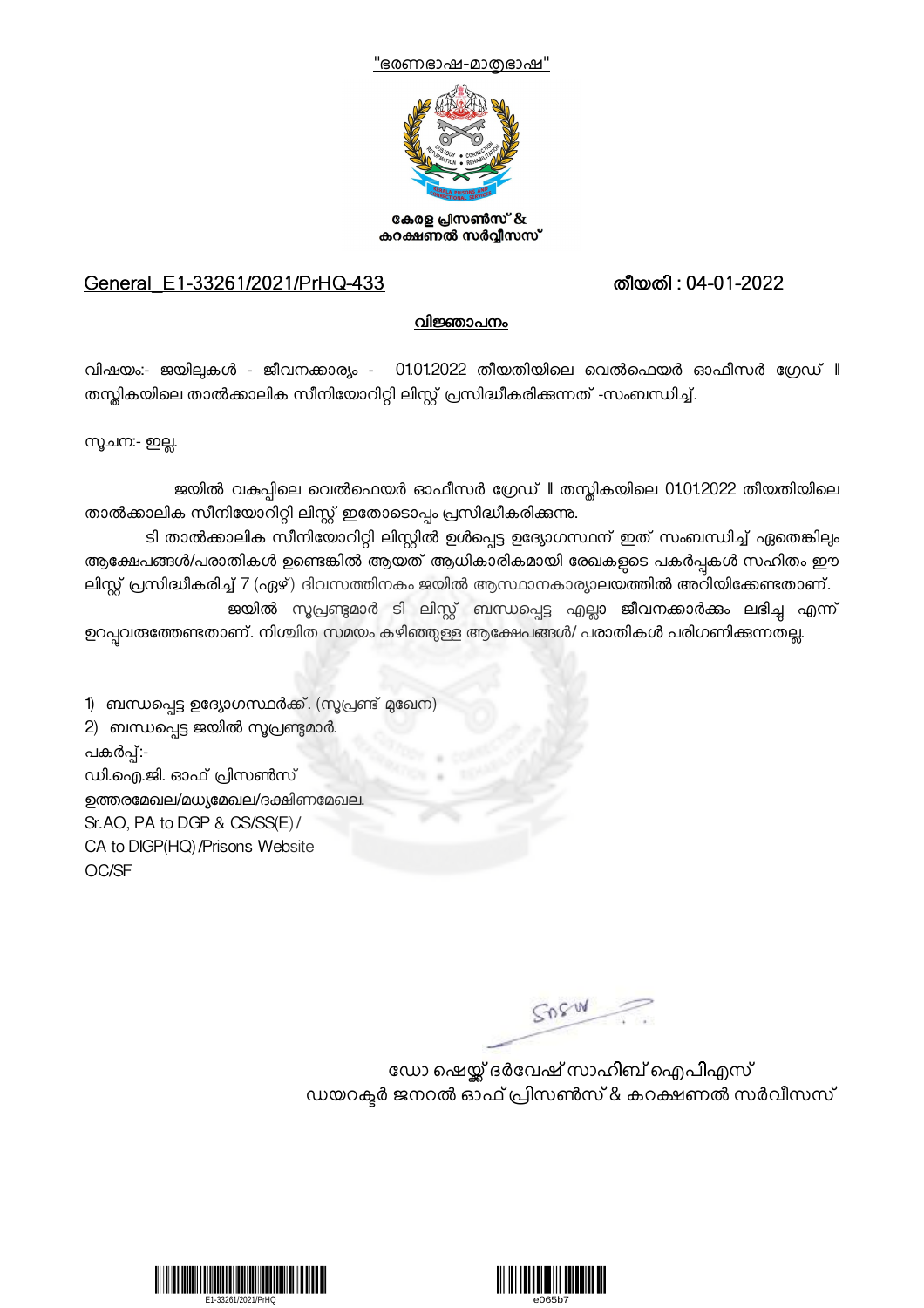



കേരള പ്രിസൺസ് & കറക്ഷണൽ സർവ്വീസസ്

## General\_E1-33261/2021/PrHQ-433 തീയതി : 04-01-2022

## വിജ്ഞാപനം

വിഷയം:- ജയില്പകൾ - ജീവനക്കാര്യം - 01.01.2022 തീയതിയിലെ വെൽഫെയർ ഓഫീസർ ഗ്രേഡ് **I**I തസ്തികയിലെ താൽക്കാലിക സീനിയോറിറ്റി ലിസ്റ്റ് പ്രസിദ്ധീകരിക്കുന്നത് -സംബന്ധിച്ച്.

1ചന:- ഇ4.

ജയിൽ വകുപ്പിലെ വെൽഫെയർ ഓഫീസർ ഗ്രേഡ് Il തസ്കികയിലെ 01.01.2022 തീയതിയിലെ താൽക്കാലിക സീനിയോറിറ്റി ലിസ്റ്റ് ഇതോടൊപ്പം പ്രസിദ്ധീകരിക്കുന്നു.

ടി താൽക്കാലിക സീനിയോറിറ്റി ലിസ്റ്റിൽ ഉൾപ്പെട്ട ഉദ്യോഗസ്ഥന് ഇത് സംബന്ധിച്ച് ഏതെങ്കിലും ആക്ഷേപങ്ങൾ/പരാതികൾ ഉണ്ടെങ്കിൽ ആയത് ആധികാരികമായി രേഖകളുടെ പകർപ്പകൾ സഹിതം ഈ ലിസ്റ്റ് പ്രസിദ്ധീകരിച്ച് 7 (ഏഴ്) ദിവസത്തിനകം ജയിൽ ആസ്ഥാനകാര്യാലയത്തിൽ അറിയിക്കേണ്ടതാണ്. ജയിൽ സൂപ്രണ്ടുമാർ ടി ലിസ്റ്റ് ബന്ധപ്പെട്ട എല്ലാ ജീവനക്കാർക്കം ലഭിച്ചു എന്ന്

ഉറപ്പവതത്തേണ്ടതാണ്. നിശ്ചിത സമയം കഴിഞ്ഞുള്ള ആക്ഷേപങ്ങൾ/ പരാതികൾ പരിഗണിക്കുന്നതല്ല.

1) ബന്ധപ്പെട്ട ഉദ്യോഗസ്ഥർക്ക്. (സൂപ്രണ്ട് മുഖേന) 2) ബന്ധപ്പെട്ട ജയിൽ സൂപ്രണ്ടുമാർ. പകർപ്പ്:-ഡി.ഐ.ജി. ഓഫ് \*ിസൺസ് ഉത്തരമേഖല/മധ്യമേഖല/ദക്ഷിണമേഖല. Sr.AO, PA to DGP & CS/SS(E)/ CA to DIGP(HQ)/Prisons Website OC/SF

SOSW

ഡോ ഷെയ്ക് ദർവേഷ് സാഹിബ് ഐപിഎസ് ഡയറക്ടർ ജനറൽ ഓഫ് പ്രിസൺസ് & കറക്ഷണൽ സർവീസസ്



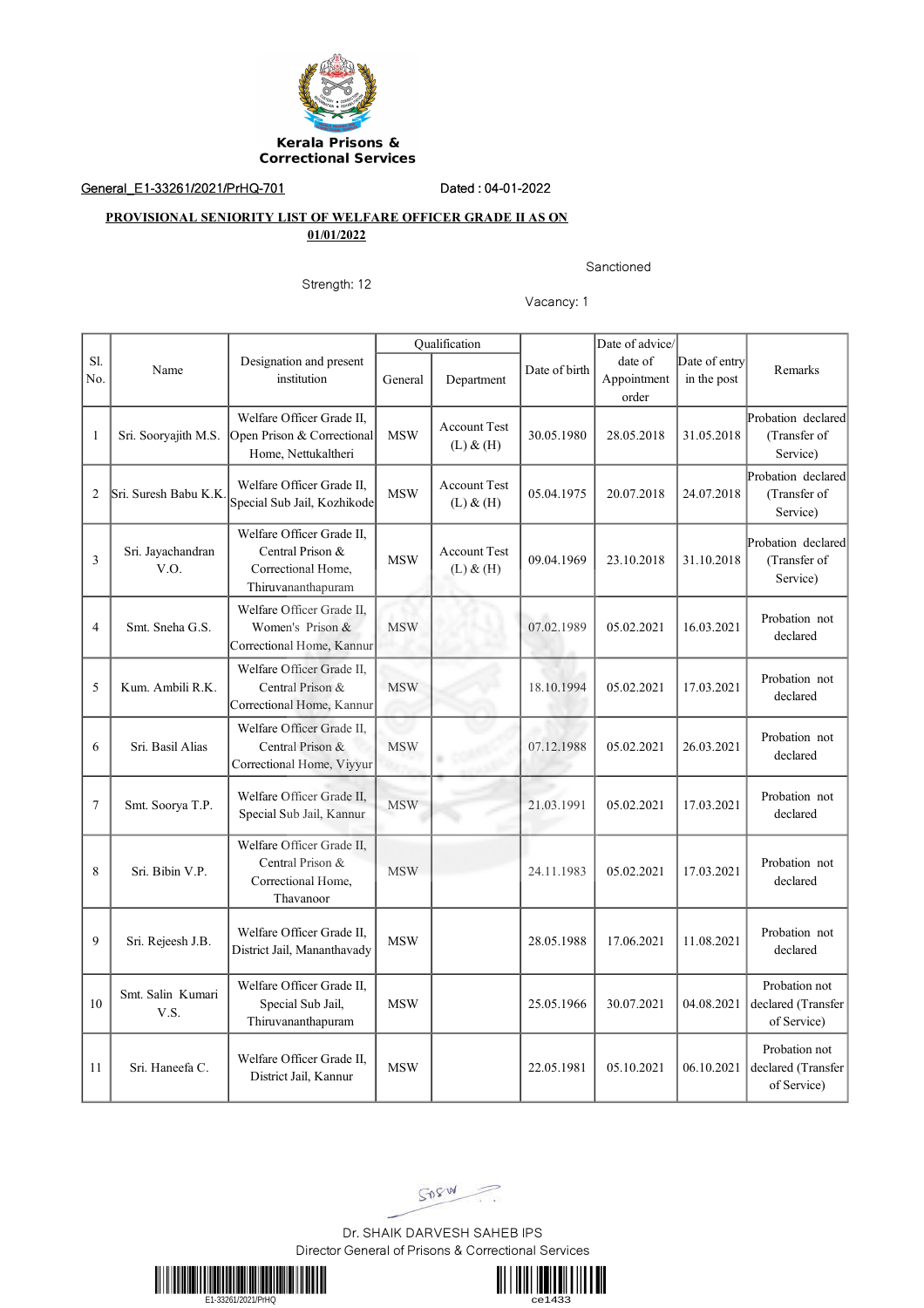

General\_E1-33261/2021/PrHQ-701 Dated : 04-01-2022

## **PROVISIONAL SENIORITY LIST OF WELFARE OFFICER GRADE II AS ON 01/01/2022**

Sanctioned

Strength: 12

Vacancy: 1

|                |                           |                                                                                           | Qualification |                                      |               | Date of advice/                 |                              |                                                    |
|----------------|---------------------------|-------------------------------------------------------------------------------------------|---------------|--------------------------------------|---------------|---------------------------------|------------------------------|----------------------------------------------------|
| Sl.<br>No.     | Name                      | Designation and present<br>institution                                                    | General       | Department                           | Date of birth | date of<br>Appointment<br>order | Date of entry<br>in the post | Remarks                                            |
| $\mathbf{1}$   | Sri. Sooryajith M.S.      | Welfare Officer Grade II,<br>Open Prison & Correctional<br>Home, Nettukaltheri            | <b>MSW</b>    | <b>Account Test</b><br>$(L)$ & $(H)$ | 30.05.1980    | 28.05.2018                      | 31.05.2018                   | Probation declared<br>(Transfer of<br>Service)     |
| $\overline{2}$ | Sri. Suresh Babu K.K.     | Welfare Officer Grade II,<br>Special Sub Jail, Kozhikode                                  | <b>MSW</b>    | <b>Account Test</b><br>$(L)$ & $(H)$ | 05.04.1975    | 20.07.2018                      | 24.07.2018                   | Probation declared<br>(Transfer of<br>Service)     |
| 3              | Sri. Jayachandran<br>V.O. | Welfare Officer Grade II,<br>Central Prison &<br>Correctional Home,<br>Thiruvananthapuram | <b>MSW</b>    | <b>Account Test</b><br>$(L)$ & $(H)$ | 09.04.1969    | 23.10.2018                      | 31.10.2018                   | Probation declared<br>(Transfer of<br>Service)     |
| $\overline{4}$ | Smt. Sneha G.S.           | Welfare Officer Grade II,<br>Women's Prison &<br>Correctional Home, Kannur                | <b>MSW</b>    |                                      | 07.02.1989    | 05.02.2021                      | 16.03.2021                   | Probation not<br>declared                          |
| 5              | Kum. Ambili R.K.          | Welfare Officer Grade II,<br>Central Prison &<br>Correctional Home, Kannur                | <b>MSW</b>    |                                      | 18.10.1994    | 05.02.2021                      | 17.03.2021                   | Probation not<br>declared                          |
| 6              | Sri. Basil Alias          | Welfare Officer Grade II.<br>Central Prison &<br>Correctional Home, Viyyur                | <b>MSW</b>    |                                      | 07.12.1988    | 05.02.2021                      | 26.03.2021                   | Probation not<br>declared                          |
| $\tau$         | Smt. Soorya T.P.          | Welfare Officer Grade II,<br>Special Sub Jail, Kannur                                     | <b>MSW</b>    |                                      | 21.03.1991    | 05.02.2021                      | 17.03.2021                   | Probation not<br>declared                          |
| 8              | Sri. Bibin V.P.           | Welfare Officer Grade II,<br>Central Prison &<br>Correctional Home,<br>Thavanoor          | <b>MSW</b>    |                                      | 24.11.1983    | 05.02.2021                      | 17.03.2021                   | Probation not<br>declared                          |
| 9              | Sri. Rejeesh J.B.         | Welfare Officer Grade II,<br>District Jail, Mananthavady                                  | <b>MSW</b>    |                                      | 28.05.1988    | 17.06.2021                      | 11.08.2021                   | Probation not<br>declared                          |
| 10             | Smt. Salin Kumari<br>V.S. | Welfare Officer Grade II,<br>Special Sub Jail,<br>Thiruvananthapuram                      | <b>MSW</b>    |                                      | 25.05.1966    | 30.07.2021                      | 04.08.2021                   | Probation not<br>declared (Transfer<br>of Service) |
| 11             | Sri. Haneefa C.           | Welfare Officer Grade II.<br>District Jail, Kannur                                        | <b>MSW</b>    |                                      | 22.05.1981    | 05.10.2021                      | 06.10.2021                   | Probation not<br>declared (Transfer<br>of Service) |

SORW

Dr. SHAIK DARVESH SAHEB IPS